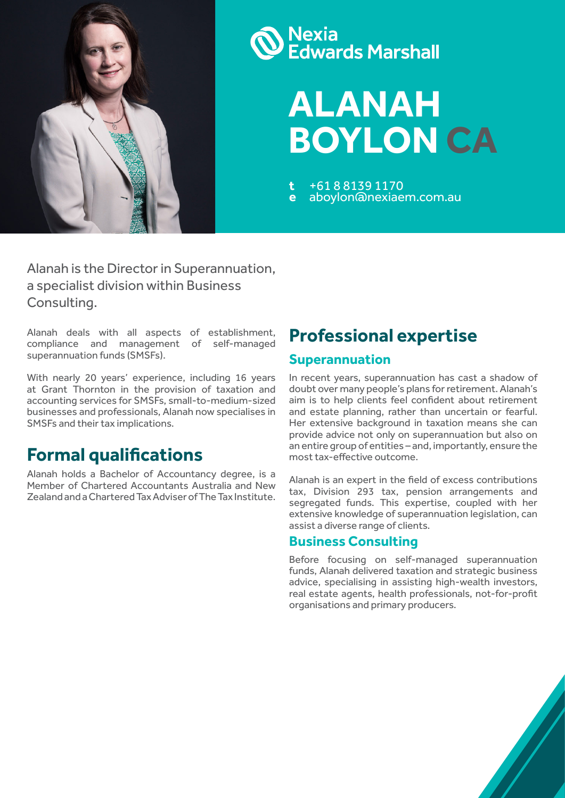

# **Nexia<br>Edwards Marshall**

**ALANAH BOYLON CA**

**t** +61 8 8139 1170 **e** aboylon@nexiaem.com.au

Alanah is the Director in Superannuation, a specialist division within Business Consulting.

Alanah deals with all aspects of establishment, compliance and management of self-managed superannuation funds (SMSFs).

With nearly 20 years' experience, including 16 years at Grant Thornton in the provision of taxation and accounting services for SMSFs, small-to-medium-sized businesses and professionals, Alanah now specialises in SMSFs and their tax implications.

## **Formal qualifications**

Alanah holds a Bachelor of Accountancy degree, is a Member of Chartered Accountants Australia and New Zealand and a Chartered Tax Adviser of The Tax Institute.

# **Professional expertise**

#### **Superannuation**

In recent years, superannuation has cast a shadow of doubt over many people's plans for retirement. Alanah's aim is to help clients feel confident about retirement and estate planning, rather than uncertain or fearful. Her extensive background in taxation means she can provide advice not only on superannuation but also on an entire group of entities – and, importantly, ensure the most tax-effective outcome.

Alanah is an expert in the field of excess contributions tax, Division 293 tax, pension arrangements and segregated funds. This expertise, coupled with her extensive knowledge of superannuation legislation, can assist a diverse range of clients.

#### **Business Consulting**

Before focusing on self-managed superannuation funds, Alanah delivered taxation and strategic business advice, specialising in assisting high-wealth investors, real estate agents, health professionals, not-for-profit organisations and primary producers.